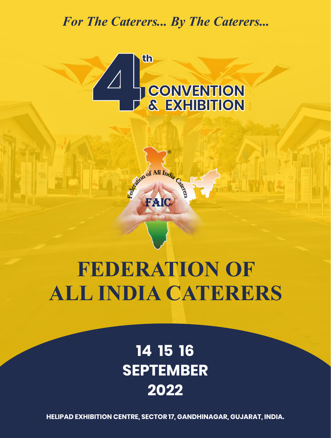*For The Caterers... By The Caterers...*



**®** 

of All India

FAI

# **FEDERATION OF ALL INDIA CATERERS**

## **14 15 16 SEPTEMBER 2022**

**HELIPAD EXHIBITION CENTRE, SECTOR 17, GANDHINAGAR, GUJARAT, INDIA.**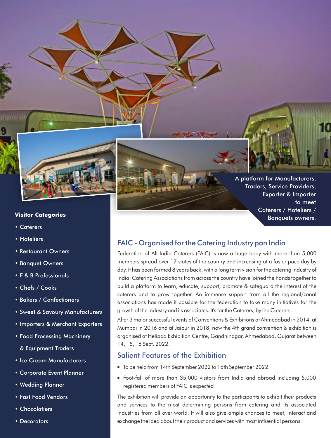

#### **Visitor Categories**

- Caterers
- Hoteliers
- Restaurant Owners
- Banquet Owners
- F & B Professionals
- Chefs / Cooks
- Bakers / Confectioners
- Sweet & Savoury Manufacturers
- Importers & Merchant Exporters
- Food Processing Machinery
	- & Equipment Traders
- Ice Cream Manufacturers
- Corporate Event Planner
- Wedding Planner
- Fast Food Vendors
- Chocolatiers
- Decorators

A platform for Manufacturers, Traders, Service Providers, Exporter & Importer to meet Caterers / Hoteliers / Banquets owners.

## FAIC - Organised for the Catering Industry pan India

Federation of All India Caterers (FAIC) is now a huge body with more than 5,000 members spread over 17 states of the country and increasing at a faster pace day by day. It has been formed 8 years back, with a long term vision for the catering industry of India. Catering Associations from across the country have joined the hands together to build a platform to learn, educate, support, promote & safeguard the interest of the caterers and to grow together. An immense support from all the regional/zonal associations has made it possible for the federation to take many initiatives for the growth of the industry and its associates. It's for the Caterers, by the Caterers.

After 3 major successful events of Conventions & Exhibitions at Ahmedabad in 2014, at Mumbai in 2016 and at Jaipur in 2018, now the 4th grand convention & exhibition is organised at Helipad Exhibition Centre, Gandhinagar, Ahmedabad, Gujarat between 14, 15, 16 Sept. 2022.

## Salient Features of the Exhibition

- <sup>n</sup> To be held from 14th September 2022 to 16th September 2022
- <sup>n</sup> Foot-fall of more than 35,000 visitors from India and abroad including 5,000 registered members of FAIC is expected

The exhibition will provide an opportunity to the participants to exhibit their products and services to the most determining persons from catering and its associated industries from all over world. It will also give ample chances to meet, interact and exchange the idea about their product and services with most influential persons.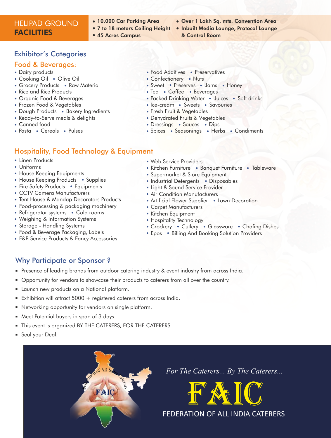## HELIPAD GROUND **FACILITIES**

- 10,000 Car Parking Area
- 7 to 18 meters Ceiling Height
- 45 Acres Campus
- Over 1 Lakh Sq. mts. Convention Area
- **.** Inbuilt Media Lounge, Protocol Lounge & Control Room

## Exhibitor's Categories

#### Food & Beverages:

- Dairy products
- Cooking Oil Olive Oil
- Grocery Products Raw Material
- Rice and Rice Products
- Organic Food & Beverages
- Frozen Food & Vegetables
- Dough Products Bakery Ingredients
- Ready-to-Serve meals & delights
- Canned food
- Pasta Cereals Pulses

## Hospitality, Food Technology & Equipment

- Linen Products
- Uniforms
- House Keeping Equipments
- House Keeping Products Supplies
- Fire Safety Products Equipments
- CCTV Camera Manufacturers
- Tent House & Mandap Decorators Products
- Food-processing & packaging machinery
- Refrigerator systems Cold rooms
- Weighing & Information Systems
- Storage Handling Systems
- Food & Beverage Packaging, Labels
- F&B Service Products & Fancy Accessories
- Food Additives Preservatives
- Confectionery Nuts
- Sweet Preserves Jams Honey
- Tea Coffee Beverages
- Packed Drinking Water Juices Soft drinks
- Ice-cream Sweets Savouries
- Fresh Fruit & Vegetables
- Dehydrated Fruits & Vegetables
- Dressings Sauces Dips
- Spices Seasonings Herbs Condiments
- Web Service Providers
- Kitchen Furniture Banquet Furniture Tableware
- Supermarket & Store Equipment
- Industrial Detergents Disposables
- Light & Sound Service Provider
- Air Condition Manufacturers
- Artificial Flower Supplier Lawn Decoration
- Carpet Manufacturers
- Kitchen Equipment
- Hospitality Technology
- Crockery Cutlery Glassware Chafing Dishes
- Epos Billing And Booking Solution Providers

## Why Participate or Sponsor ?

- **Presence of leading brands from outdoor catering industry & event industry from across India.**
- <sup>n</sup> Opportunity for vendors to showcase their products to caterers from all over the country.
- **Example 1** Launch new products on a National platform.
- Exhibition will attract  $5000 +$  registered caterers from across India.
- **•** Networking opportunity for vendors on single platform.
- **n** Meet Potential buyers in span of 3 days.
- **n** This event is organized BY THE CATERERS, FOR THE CATERERS.
- Seal your Deal.



*For The Caterers... By The Caterers...*

FAIC

FEDERATION OF ALL INDIA CATERERS